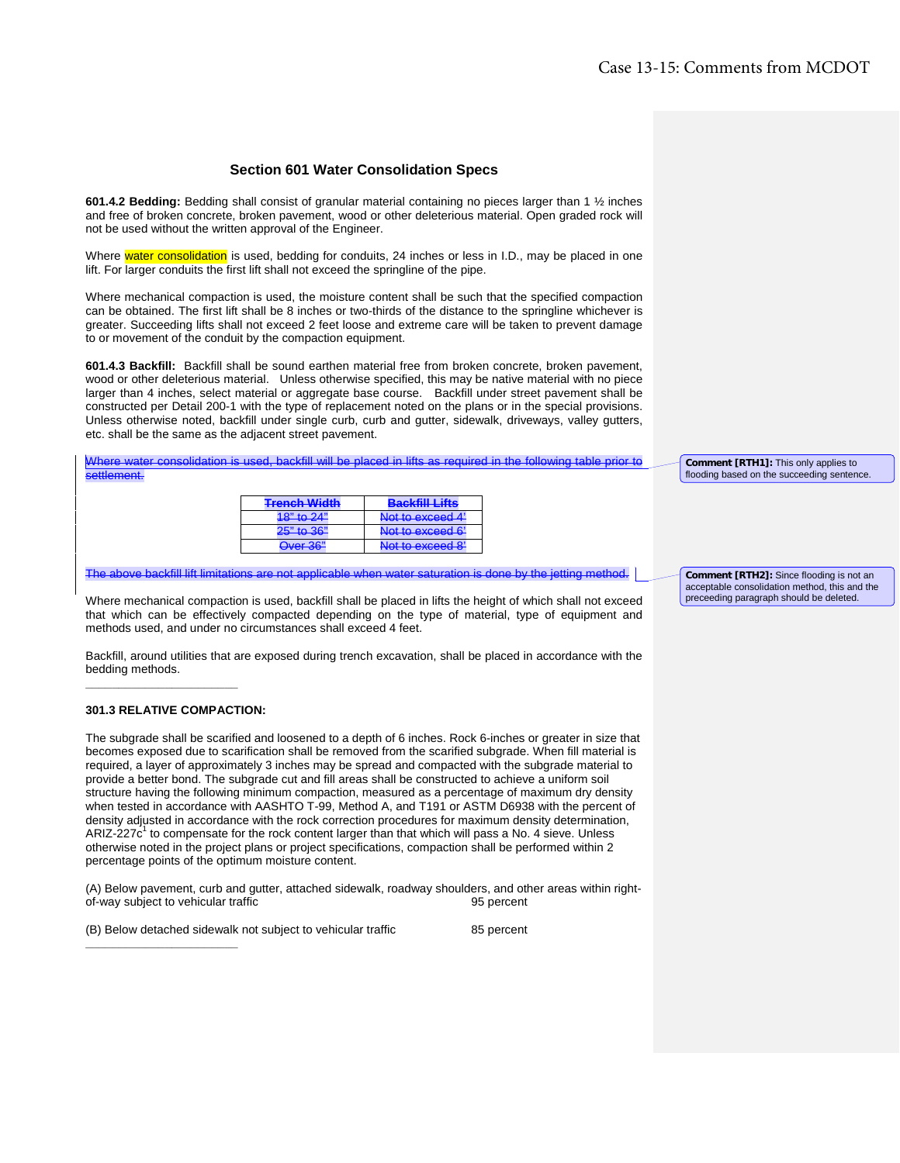## **Section 601 Water Consolidation Specs**

**601.4.2 Bedding:** Bedding shall consist of granular material containing no pieces larger than 1 ½ inches and free of broken concrete, broken pavement, wood or other deleterious material. Open graded rock will not be used without the written approval of the Engineer.

Where water consolidation is used, bedding for conduits, 24 inches or less in I.D., may be placed in one lift. For larger conduits the first lift shall not exceed the springline of the pipe.

Where mechanical compaction is used, the moisture content shall be such that the specified compaction can be obtained. The first lift shall be 8 inches or two-thirds of the distance to the springline whichever is greater. Succeeding lifts shall not exceed 2 feet loose and extreme care will be taken to prevent damage to or movement of the conduit by the compaction equipment.

**601.4.3 Backfill:** Backfill shall be sound earthen material free from broken concrete, broken pavement, wood or other deleterious material. Unless otherwise specified, this may be native material with no piece larger than 4 inches, select material or aggregate base course. Backfill under street pavement shall be constructed per Detail 200-1 with the type of replacement noted on the plans or in the special provisions. Unless otherwise noted, backfill under single curb, curb and gutter, sidewalk, driveways, valley gutters, etc. shall be the same as the adjacent street pavement.

olidation is used, backfill will be placed in lifts as required in the following table prior to settlement.

| <b>Tranch Width</b>                   | DovDiff1146                                                                                                     |  |  |
|---------------------------------------|-----------------------------------------------------------------------------------------------------------------|--|--|
| <del>monon Withi</del>                | ----------------                                                                                                |  |  |
| $18"$ to $24"$<br><del>10 10 21</del> | Not to exceed 4'                                                                                                |  |  |
| $25" + 25"$                           | Not to exceed 6'                                                                                                |  |  |
| <del>20 to oo</del>                   | <b>INTERNATIONAL CONTRACT OF A STATE OF A STATE OF A STATE OF A STATE OF A STATE OF A STATE OF A STATE OF A</b> |  |  |
| $Q_{VOR}$ 2 $R''$                     | Not to exceed 8'<br><u>ivienve vznutulu u pr</u>                                                                |  |  |

The above backfill lift limitations are not applicable when water saturation is done by the jetting method.

Where mechanical compaction is used, backfill shall be placed in lifts the height of which shall not exceed that which can be effectively compacted depending on the type of material, type of equipment and methods used, and under no circumstances shall exceed 4 feet.

Backfill, around utilities that are exposed during trench excavation, shall be placed in accordance with the bedding methods.

## **301.3 RELATIVE COMPACTION:**

**\_\_\_\_\_\_\_\_\_\_\_\_\_\_\_\_\_\_\_\_\_\_\_**

**\_\_\_\_\_\_\_\_\_\_\_\_\_\_\_\_\_\_\_\_\_\_\_**

The subgrade shall be scarified and loosened to a depth of 6 inches. Rock 6-inches or greater in size that becomes exposed due to scarification shall be removed from the scarified subgrade. When fill material is required, a layer of approximately 3 inches may be spread and compacted with the subgrade material to provide a better bond. The subgrade cut and fill areas shall be constructed to achieve a uniform soil structure having the following minimum compaction, measured as a percentage of maximum dry density when tested in accordance with AASHTO T-99, Method A, and T191 or ASTM D6938 with the percent of density adjusted in accordance with the rock correction procedures for maximum density determination, ARIZ-227 $c<sup>1</sup>$  to compensate for the rock content larger than that which will pass a No. 4 sieve. Unless otherwise noted in the project plans or project specifications, compaction shall be performed within 2 percentage points of the optimum moisture content.

(A) Below pavement, curb and gutter, attached sidewalk, roadway shoulders, and other areas within rightof-way subject to vehicular traffic

(B) Below detached sidewalk not subject to vehicular traffic 85 percent

**Comment [RTH1]:** This only applies to flooding based on the succeeding sentence

**Comment [RTH2]:** Since flooding is not an acceptable consolidation method, this and the preceeding paragraph should be deleted.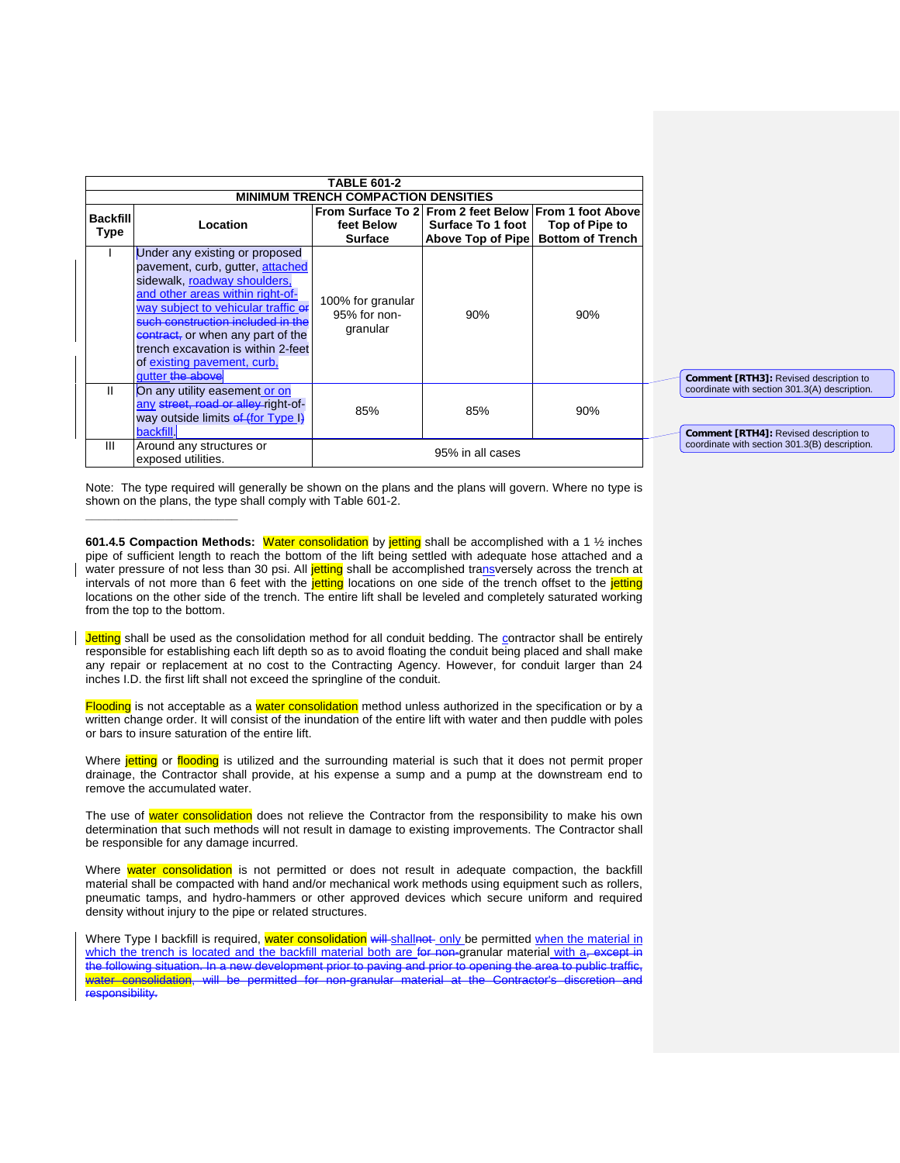|                                |                                                                                                                                                                                                                                                                                                                                                  | <b>TABLE 601-2</b><br><b>MINIMUM TRENCH COMPACTION DENSITIES</b> |                                                                                                 |                                           |  |                                                                                         |
|--------------------------------|--------------------------------------------------------------------------------------------------------------------------------------------------------------------------------------------------------------------------------------------------------------------------------------------------------------------------------------------------|------------------------------------------------------------------|-------------------------------------------------------------------------------------------------|-------------------------------------------|--|-----------------------------------------------------------------------------------------|
| <b>Backfill</b><br><b>Type</b> | Location                                                                                                                                                                                                                                                                                                                                         | feet Below<br><b>Surface</b>                                     | From Surface To 2 From 2 feet Below From 1 foot Above<br>Surface To 1 foot<br>Above Top of Pipe | Top of Pipe to<br><b>Bottom of Trench</b> |  |                                                                                         |
|                                | Under any existing or proposed<br>pavement, curb, gutter, attached<br>sidewalk, roadway shoulders,<br>and other areas within right-of-<br>way subject to vehicular traffic of<br>such construction included in the<br>contract, or when any part of the<br>trench excavation is within 2-feet<br>of existing payement, curb,<br>qutter the above | 100% for granular<br>95% for non-<br>granular                    | 90%                                                                                             | 90%                                       |  | <b>Comment [RTH3]:</b> Revised description to                                           |
| Ш                              | On any utility easement or on<br>any street, road or alley-right-of-<br>way outside limits of (for Type I)<br>backfill.                                                                                                                                                                                                                          | 85%                                                              | 85%                                                                                             | 90%                                       |  | coordinate with section 301.3(A) description.<br>Comment [RTH4]: Revised description to |
| Ш                              | Around any structures or<br>exposed utilities.                                                                                                                                                                                                                                                                                                   |                                                                  | 95% in all cases                                                                                |                                           |  | coordinate with section 301.3(B) description.                                           |

Note: The type required will generally be shown on the plans and the plans will govern. Where no type is shown on the plans, the type shall comply with Table 601-2.

**\_\_\_\_\_\_\_\_\_\_\_\_\_\_\_\_\_\_\_\_\_\_\_**

**601.4.5 Compaction Methods:** Water consolidation by jetting shall be accomplished with a 1 ½ inches pipe of sufficient length to reach the bottom of the lift being settled with adequate hose attached and a water pressure of not less than 30 psi. All jetting shall be accomplished transversely across the trench at intervals of not more than 6 feet with the jetting locations on one side of the trench offset to the jetting locations on the other side of the trench. The entire lift shall be leveled and completely saturated working from the top to the bottom.

Jetting shall be used as the consolidation method for all conduit bedding. The contractor shall be entirely responsible for establishing each lift depth so as to avoid floating the conduit being placed and shall make any repair or replacement at no cost to the Contracting Agency. However, for conduit larger than 24 inches I.D. the first lift shall not exceed the springline of the conduit.

Flooding is not acceptable as a water consolidation method unless authorized in the specification or by a written change order. It will consist of the inundation of the entire lift with water and then puddle with poles or bars to insure saturation of the entire lift.

Where jetting or flooding is utilized and the surrounding material is such that it does not permit proper drainage, the Contractor shall provide, at his expense a sump and a pump at the downstream end to remove the accumulated water.

The use of water consolidation does not relieve the Contractor from the responsibility to make his own determination that such methods will not result in damage to existing improvements. The Contractor shall be responsible for any damage incurred.

Where water consolidation is not permitted or does not result in adequate compaction, the backfill material shall be compacted with hand and/or mechanical work methods using equipment such as rollers, pneumatic tamps, and hydro-hammers or other approved devices which secure uniform and required density without injury to the pipe or related structures.

Where Type I backfill is required, water consolidation will shallnot only be permitted when the material in which the trench is located and the backfill material both are for non-granular material with a<sub>r</sub> except in the following situation. In a new development prior to paving and prior to opening the area to public traffic, water consolidation, will be permitted for non-granular material at the Contractor's discretion and responsibility.